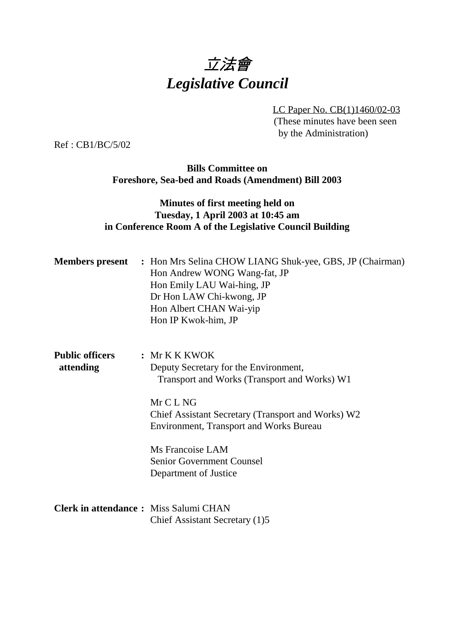

LC Paper No. CB(1)1460/02-03 (These minutes have been seen by the Administration)

Ref : CB1/BC/5/02

**Bills Committee on Foreshore, Sea-bed and Roads (Amendment) Bill 2003**

## **Minutes of first meeting held on Tuesday, 1 April 2003 at 10:45 am in Conference Room A of the Legislative Council Building**

| <b>Members present</b>                        | : Hon Mrs Selina CHOW LIANG Shuk-yee, GBS, JP (Chairman)<br>Hon Andrew WONG Wang-fat, JP<br>Hon Emily LAU Wai-hing, JP<br>Dr Hon LAW Chi-kwong, JP<br>Hon Albert CHAN Wai-yip<br>Hon IP Kwok-him, JP                                                                                                   |
|-----------------------------------------------|--------------------------------------------------------------------------------------------------------------------------------------------------------------------------------------------------------------------------------------------------------------------------------------------------------|
| <b>Public officers</b><br>attending           | : Mr K K K WOK<br>Deputy Secretary for the Environment,<br>Transport and Works (Transport and Works) W1<br>Mr C L NG<br>Chief Assistant Secretary (Transport and Works) W2<br>Environment, Transport and Works Bureau<br>Ms Francoise LAM<br><b>Senior Government Counsel</b><br>Department of Justice |
| <b>Clerk in attendance : Miss Salumi CHAN</b> | Chief Assistant Secretary (1)5                                                                                                                                                                                                                                                                         |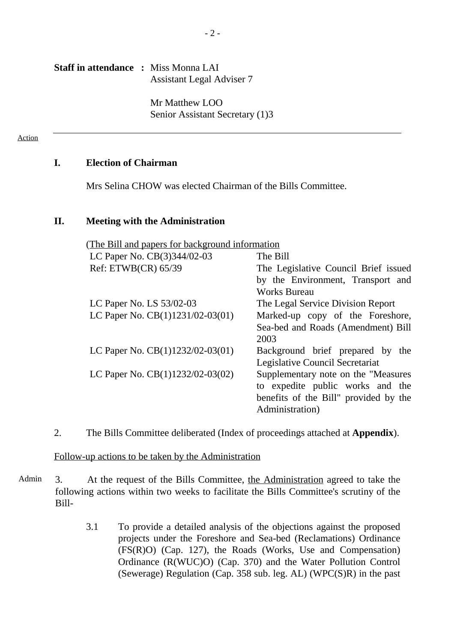#### **Staff in attendance :** Miss Monna LAI Assistant Legal Adviser 7

Mr Matthew LOO Senior Assistant Secretary (1)3

#### Action

#### **I. Election of Chairman**

Mrs Selina CHOW was elected Chairman of the Bills Committee.

#### **II. Meeting with the Administration**

(The Bill and papers for background information

| LC Paper No. CB(3)344/02-03                                           | $\equiv$ The Bill                     |
|-----------------------------------------------------------------------|---------------------------------------|
| Ref: ETWB(CR) 65/39                                                   | The Legislative Council Brief issued  |
|                                                                       | by the Environment, Transport and     |
|                                                                       | <b>Works Bureau</b>                   |
| LC Paper No. LS 53/02-03                                              | — The Legal Service Division Report   |
| LC Paper No. $CB(1)1231/02-03(01)$ — Marked-up copy of the Foreshore, |                                       |
|                                                                       | Sea-bed and Roads (Amendment) Bill    |
|                                                                       | 2003                                  |
| LC Paper No. $CB(1)1232/02-03(01)$ — Background brief prepared by the |                                       |
|                                                                       | Legislative Council Secretariat       |
| LC Paper No. $CB(1)1232/02-03(02)$ —                                  | Supplementary note on the "Measures"  |
|                                                                       | to expedite public works and the      |
|                                                                       | benefits of the Bill" provided by the |
|                                                                       | Administration)                       |

2. The Bills Committee deliberated (Index of proceedings attached at **Appendix**).

#### Follow-up actions to be taken by the Administration

- Admin 3. At the request of the Bills Committee, the Administration agreed to take the following actions within two weeks to facilitate the Bills Committee's scrutiny of the Bill-
	- 3.1 To provide a detailed analysis of the objections against the proposed projects under the Foreshore and Sea-bed (Reclamations) Ordinance (FS(R)O) (Cap. 127), the Roads (Works, Use and Compensation) Ordinance (R(WUC)O) (Cap. 370) and the Water Pollution Control (Sewerage) Regulation (Cap. 358 sub. leg. AL) (WPC(S)R) in the past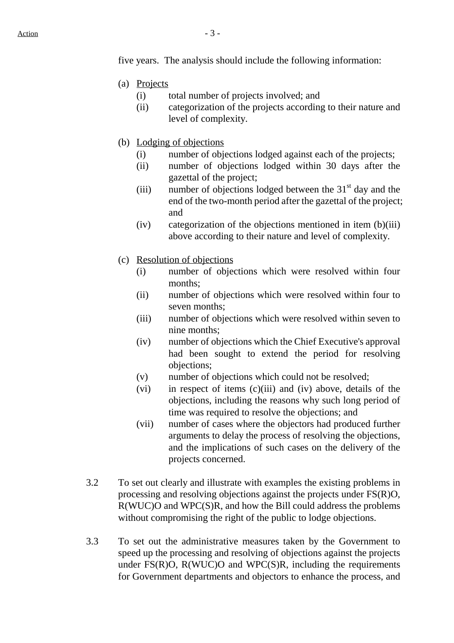five years. The analysis should include the following information:

- (a) Projects
	- (i) total number of projects involved; and
	- (ii) categorization of the projects according to their nature and level of complexity.
- (b) Lodging of objections
	- (i) number of objections lodged against each of the projects;
	- (ii) number of objections lodged within 30 days after the gazettal of the project;
	- (iii) number of objections lodged between the  $31<sup>st</sup>$  day and the end of the two-month period after the gazettal of the project; and
	- (iv) categorization of the objections mentioned in item (b)(iii) above according to their nature and level of complexity.
- (c) Resolution of objections
	- (i) number of objections which were resolved within four months;
	- (ii) number of objections which were resolved within four to seven months;
	- (iii) number of objections which were resolved within seven to nine months;
	- (iv) number of objections which the Chief Executive's approval had been sought to extend the period for resolving objections;
	- (v) number of objections which could not be resolved;
	- (vi) in respect of items (c)(iii) and (iv) above, details of the objections, including the reasons why such long period of time was required to resolve the objections; and
	- (vii) number of cases where the objectors had produced further arguments to delay the process of resolving the objections, and the implications of such cases on the delivery of the projects concerned.
- 3.2 To set out clearly and illustrate with examples the existing problems in processing and resolving objections against the projects under FS(R)O, R(WUC)O and WPC(S)R, and how the Bill could address the problems without compromising the right of the public to lodge objections.
- 3.3 To set out the administrative measures taken by the Government to speed up the processing and resolving of objections against the projects under  $FS(R)O$ ,  $R(WUC)O$  and  $WPC(S)R$ , including the requirements for Government departments and objectors to enhance the process, and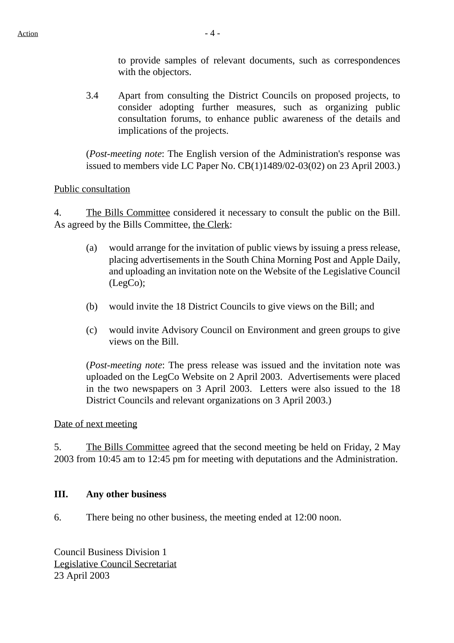to provide samples of relevant documents, such as correspondences with the objectors.

3.4 Apart from consulting the District Councils on proposed projects, to consider adopting further measures, such as organizing public consultation forums, to enhance public awareness of the details and implications of the projects.

(*Post-meeting note*: The English version of the Administration's response was issued to members vide LC Paper No. CB(1)1489/02-03(02) on 23 April 2003.)

#### Public consultation

4. The Bills Committee considered it necessary to consult the public on the Bill. As agreed by the Bills Committee, the Clerk:

- (a) would arrange for the invitation of public views by issuing a press release, placing advertisements in the South China Morning Post and Apple Daily, and uploading an invitation note on the Website of the Legislative Council (LegCo);
- (b) would invite the 18 District Councils to give views on the Bill; and
- (c) would invite Advisory Council on Environment and green groups to give views on the Bill.

(*Post-meeting note*: The press release was issued and the invitation note was uploaded on the LegCo Website on 2 April 2003. Advertisements were placed in the two newspapers on 3 April 2003. Letters were also issued to the 18 District Councils and relevant organizations on 3 April 2003.)

## Date of next meeting

5. The Bills Committee agreed that the second meeting be held on Friday, 2 May 2003 from 10:45 am to 12:45 pm for meeting with deputations and the Administration.

## **III. Any other business**

6. There being no other business, the meeting ended at 12:00 noon.

Council Business Division 1 Legislative Council Secretariat 23 April 2003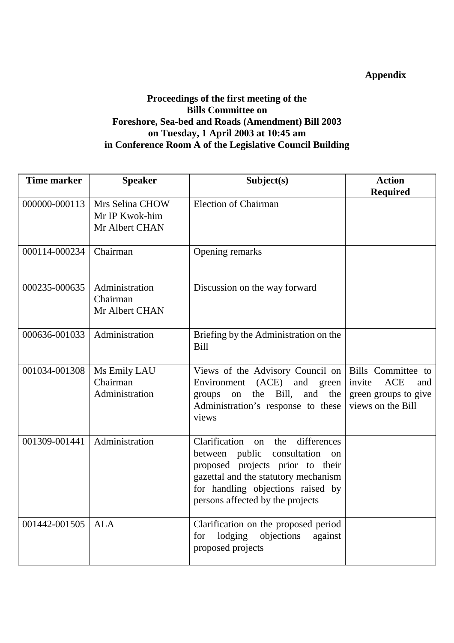# **Appendix**

## **Proceedings of the first meeting of the Bills Committee on Foreshore, Sea-bed and Roads (Amendment) Bill 2003 on Tuesday, 1 April 2003 at 10:45 am in Conference Room A of the Legislative Council Building**

| <b>Time marker</b> | <b>Speaker</b>                                      | Subject(s)                                                                                                                                                                                                                             | <b>Action</b>                                                                                  |
|--------------------|-----------------------------------------------------|----------------------------------------------------------------------------------------------------------------------------------------------------------------------------------------------------------------------------------------|------------------------------------------------------------------------------------------------|
|                    |                                                     |                                                                                                                                                                                                                                        | <b>Required</b>                                                                                |
| 000000-000113      | Mrs Selina CHOW<br>Mr IP Kwok-him<br>Mr Albert CHAN | <b>Election of Chairman</b>                                                                                                                                                                                                            |                                                                                                |
| 000114-000234      | Chairman                                            | Opening remarks                                                                                                                                                                                                                        |                                                                                                |
| 000235-000635      | Administration<br>Chairman<br>Mr Albert CHAN        | Discussion on the way forward                                                                                                                                                                                                          |                                                                                                |
| 000636-001033      | Administration                                      | Briefing by the Administration on the<br><b>Bill</b>                                                                                                                                                                                   |                                                                                                |
| 001034-001308      | Ms Emily LAU<br>Chairman<br>Administration          | Views of the Advisory Council on<br>Environment<br>(ACE)<br>and<br>green<br>Bill,<br>the<br>and<br>groups<br>on<br>the<br>Administration's response to these<br>views                                                                  | Bills Committee to<br><b>ACE</b><br>invite<br>and<br>green groups to give<br>views on the Bill |
| 001309-001441      | Administration                                      | Clarification<br>differences<br>the<br>on<br>between public<br>consultation<br>on<br>proposed projects prior to their<br>gazettal and the statutory mechanism<br>for handling objections raised by<br>persons affected by the projects |                                                                                                |
| 001442-001505      | <b>ALA</b>                                          | Clarification on the proposed period<br>lodging<br>objections<br>against<br>for<br>proposed projects                                                                                                                                   |                                                                                                |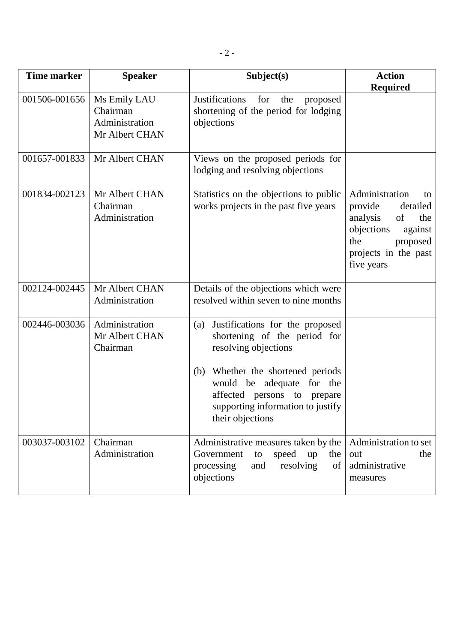| <b>Time marker</b> | <b>Speaker</b>                                               | Subject(s)                                                                                                                                                                                                                                                     | <b>Action</b><br><b>Required</b>                                                                                                                       |
|--------------------|--------------------------------------------------------------|----------------------------------------------------------------------------------------------------------------------------------------------------------------------------------------------------------------------------------------------------------------|--------------------------------------------------------------------------------------------------------------------------------------------------------|
| 001506-001656      | Ms Emily LAU<br>Chairman<br>Administration<br>Mr Albert CHAN | <b>Justifications</b><br>for<br>the<br>proposed<br>shortening of the period for lodging<br>objections                                                                                                                                                          |                                                                                                                                                        |
| 001657-001833      | Mr Albert CHAN                                               | Views on the proposed periods for<br>lodging and resolving objections                                                                                                                                                                                          |                                                                                                                                                        |
| 001834-002123      | Mr Albert CHAN<br>Chairman<br>Administration                 | Statistics on the objections to public<br>works projects in the past five years                                                                                                                                                                                | Administration<br>to<br>detailed<br>provide<br>of<br>analysis<br>the<br>objections<br>against<br>proposed<br>the<br>projects in the past<br>five years |
| 002124-002445      | Mr Albert CHAN<br>Administration                             | Details of the objections which were<br>resolved within seven to nine months                                                                                                                                                                                   |                                                                                                                                                        |
| 002446-003036      | Administration<br>Mr Albert CHAN<br>Chairman                 | Justifications for the proposed<br>(a)<br>shortening of the period for<br>resolving objections<br>Whether the shortened periods<br>(b)<br>would be adequate for the<br>affected persons to<br>prepare<br>supporting information to justify<br>their objections |                                                                                                                                                        |
| 003037-003102      | Chairman<br>Administration                                   | Administrative measures taken by the<br>speed<br>Government<br>up<br>to<br>the<br>resolving<br>processing<br>and<br>of<br>objections                                                                                                                           | Administration to set<br>the<br>out<br>administrative<br>measures                                                                                      |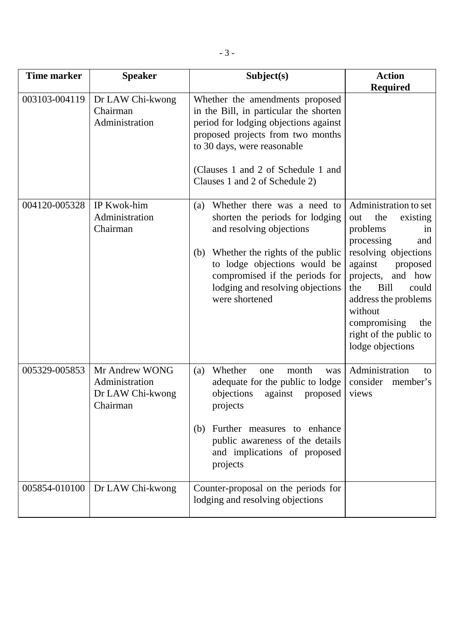| <b>Time marker</b> | <b>Speaker</b>                                                   | Subject(s)                                                                                                                                                                                                                                                           | <b>Action</b>                                                                                                                                                                                                                                                                                        |
|--------------------|------------------------------------------------------------------|----------------------------------------------------------------------------------------------------------------------------------------------------------------------------------------------------------------------------------------------------------------------|------------------------------------------------------------------------------------------------------------------------------------------------------------------------------------------------------------------------------------------------------------------------------------------------------|
|                    |                                                                  |                                                                                                                                                                                                                                                                      | <b>Required</b>                                                                                                                                                                                                                                                                                      |
| 003103-004119      | Dr LAW Chi-kwong<br>Chairman<br>Administration                   | Whether the amendments proposed<br>in the Bill, in particular the shorten<br>period for lodging objections against<br>proposed projects from two months<br>to 30 days, were reasonable<br>(Clauses 1 and 2 of Schedule 1 and<br>Clauses 1 and 2 of Schedule 2)       |                                                                                                                                                                                                                                                                                                      |
| 004120-005328      | IP Kwok-him<br>Administration<br>Chairman                        | Whether there was a need to<br>(a)<br>shorten the periods for lodging<br>and resolving objections<br>Whether the rights of the public<br>(b)<br>to lodge objections would be<br>compromised if the periods for<br>lodging and resolving objections<br>were shortened | Administration to set<br>the<br>existing<br>out<br>problems<br>in<br>processing<br>and<br>resolving objections<br>against<br>proposed<br>and how<br>projects,<br><b>Bill</b><br>could<br>the<br>address the problems<br>without<br>compromising<br>the<br>right of the public to<br>lodge objections |
| 005329-005853      | Mr Andrew WONG<br>Administration<br>Dr LAW Chi-kwong<br>Chairman | Whether<br>month<br>(a)<br>one<br>was<br>adequate for the public to lodge<br>objections<br>against<br>proposed<br>projects<br>(b) Further measures to enhance<br>public awareness of the details<br>and implications of proposed<br>projects                         | Administration<br>to<br>consider<br>member's<br>views                                                                                                                                                                                                                                                |
| 005854-010100      | Dr LAW Chi-kwong                                                 | Counter-proposal on the periods for<br>lodging and resolving objections                                                                                                                                                                                              |                                                                                                                                                                                                                                                                                                      |